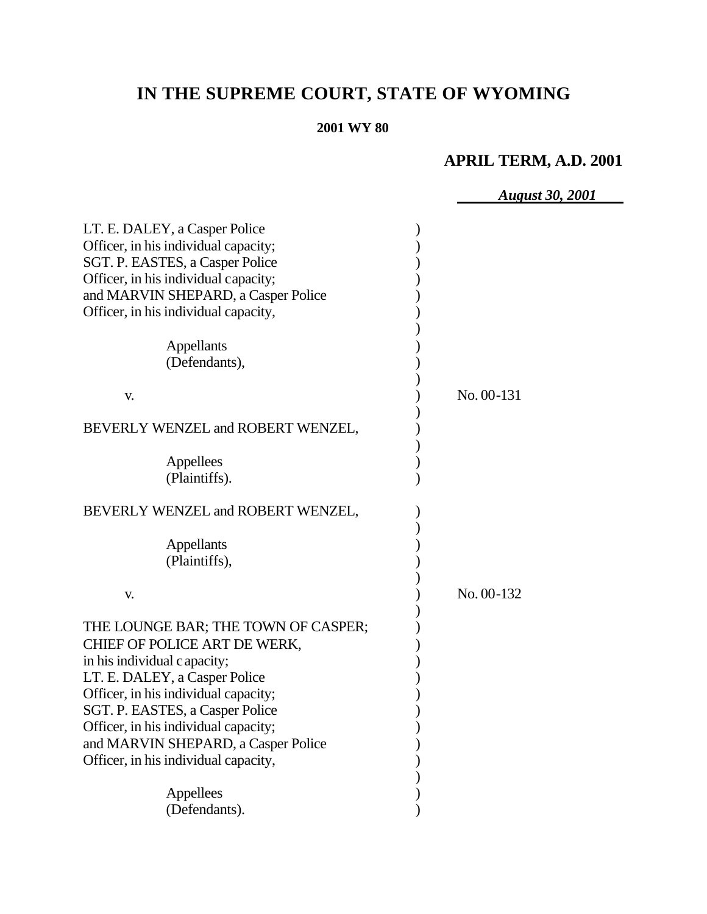# **IN THE SUPREME COURT, STATE OF WYOMING**

#### **2001 WY 80**

## **APRIL TERM, A.D. 2001**

|                                      | <b>August 30, 2001</b> |
|--------------------------------------|------------------------|
|                                      |                        |
| LT. E. DALEY, a Casper Police        |                        |
| Officer, in his individual capacity; |                        |
| SGT. P. EASTES, a Casper Police      |                        |
| Officer, in his individual capacity; |                        |
| and MARVIN SHEPARD, a Casper Police  |                        |
| Officer, in his individual capacity, |                        |
|                                      |                        |
| Appellants<br>(Defendants),          |                        |
|                                      |                        |
|                                      | No. 00-131             |
| V.                                   |                        |
| BEVERLY WENZEL and ROBERT WENZEL,    |                        |
|                                      |                        |
| Appellees                            |                        |
| (Plaintiffs).                        |                        |
|                                      |                        |
| BEVERLY WENZEL and ROBERT WENZEL,    |                        |
|                                      |                        |
| Appellants                           |                        |
| (Plaintiffs),                        |                        |
|                                      |                        |
| V.                                   | No. 00-132             |
|                                      |                        |
| THE LOUNGE BAR; THE TOWN OF CASPER;  |                        |
| CHIEF OF POLICE ART DE WERK,         |                        |
| in his individual c apacity;         |                        |
| LT. E. DALEY, a Casper Police        |                        |
| Officer, in his individual capacity; |                        |
| SGT. P. EASTES, a Casper Police      |                        |
| Officer, in his individual capacity; |                        |
| and MARVIN SHEPARD, a Casper Police  |                        |
| Officer, in his individual capacity, |                        |
|                                      |                        |
| Appellees                            |                        |
| (Defendants).                        |                        |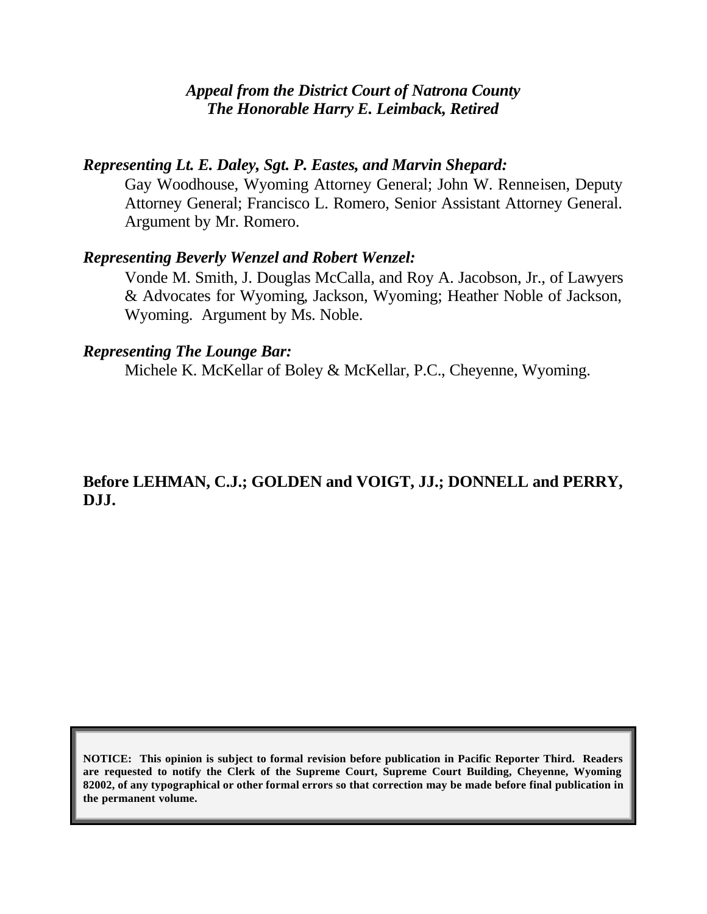## *Appeal from the District Court of Natrona County The Honorable Harry E. Leimback, Retired*

## *Representing Lt. E. Daley, Sgt. P. Eastes, and Marvin Shepard:*

Gay Woodhouse, Wyoming Attorney General; John W. Renneisen, Deputy Attorney General; Francisco L. Romero, Senior Assistant Attorney General. Argument by Mr. Romero.

## *Representing Beverly Wenzel and Robert Wenzel:*

Vonde M. Smith, J. Douglas McCalla, and Roy A. Jacobson, Jr., of Lawyers & Advocates for Wyoming, Jackson, Wyoming; Heather Noble of Jackson, Wyoming. Argument by Ms. Noble.

## *Representing The Lounge Bar:*

Michele K. McKellar of Boley & McKellar, P.C., Cheyenne, Wyoming.

## **Before LEHMAN, C.J.; GOLDEN and VOIGT, JJ.; DONNELL and PERRY, DJJ.**

**NOTICE: This opinion is subject to formal revision before publication in Pacific Reporter Third. Readers are requested to notify the Clerk of the Supreme Court, Supreme Court Building, Cheyenne, Wyoming 82002, of any typographical or other formal errors so that correction may be made before final publication in the permanent volume.**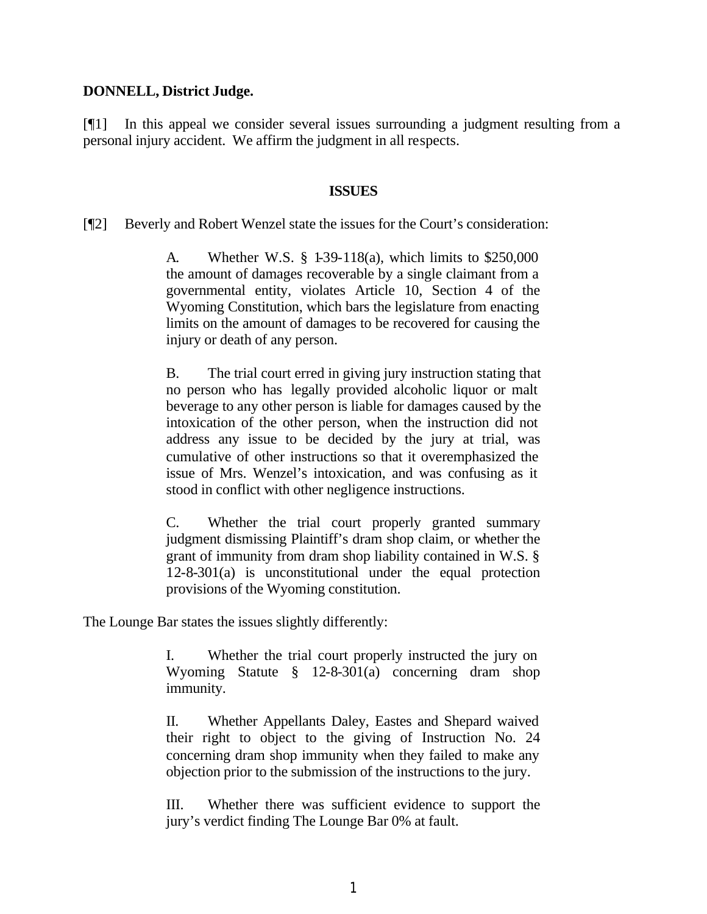#### **DONNELL, District Judge.**

[¶1] In this appeal we consider several issues surrounding a judgment resulting from a personal injury accident. We affirm the judgment in all respects.

#### **ISSUES**

[¶2] Beverly and Robert Wenzel state the issues for the Court's consideration:

A. Whether W.S. § 1-39-118(a), which limits to \$250,000 the amount of damages recoverable by a single claimant from a governmental entity, violates Article 10, Section 4 of the Wyoming Constitution, which bars the legislature from enacting limits on the amount of damages to be recovered for causing the injury or death of any person.

B. The trial court erred in giving jury instruction stating that no person who has legally provided alcoholic liquor or malt beverage to any other person is liable for damages caused by the intoxication of the other person, when the instruction did not address any issue to be decided by the jury at trial, was cumulative of other instructions so that it overemphasized the issue of Mrs. Wenzel's intoxication, and was confusing as it stood in conflict with other negligence instructions.

C. Whether the trial court properly granted summary judgment dismissing Plaintiff's dram shop claim, or whether the grant of immunity from dram shop liability contained in W.S. § 12-8-301(a) is unconstitutional under the equal protection provisions of the Wyoming constitution.

The Lounge Bar states the issues slightly differently:

I. Whether the trial court properly instructed the jury on Wyoming Statute § 12-8-301(a) concerning dram shop immunity.

II. Whether Appellants Daley, Eastes and Shepard waived their right to object to the giving of Instruction No. 24 concerning dram shop immunity when they failed to make any objection prior to the submission of the instructions to the jury.

III. Whether there was sufficient evidence to support the jury's verdict finding The Lounge Bar 0% at fault.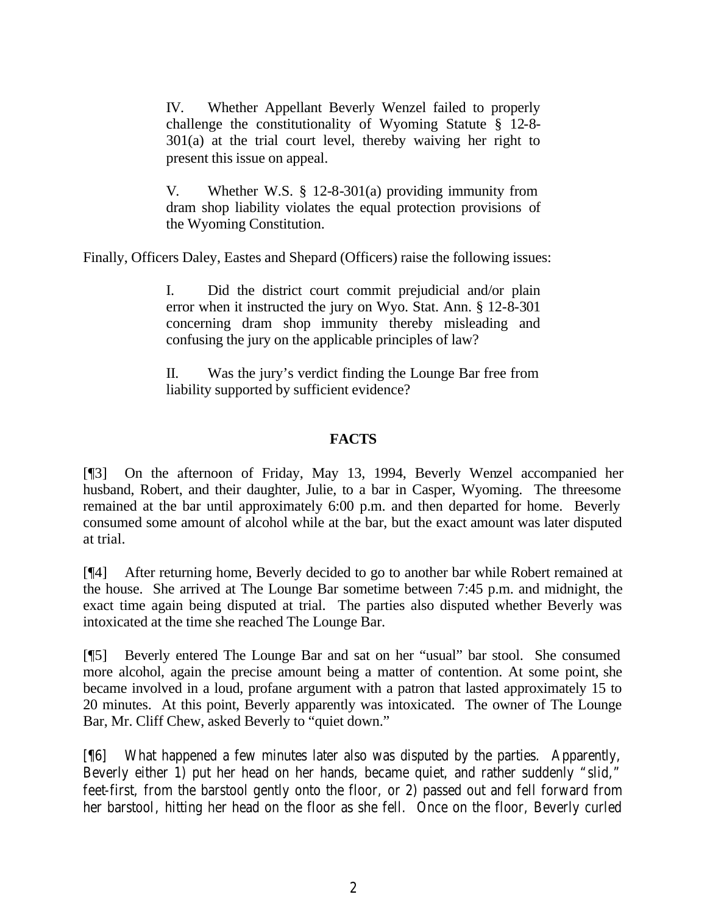IV. Whether Appellant Beverly Wenzel failed to properly challenge the constitutionality of Wyoming Statute § 12-8- 301(a) at the trial court level, thereby waiving her right to present this issue on appeal.

V. Whether W.S. § 12-8-301(a) providing immunity from dram shop liability violates the equal protection provisions of the Wyoming Constitution.

Finally, Officers Daley, Eastes and Shepard (Officers) raise the following issues:

I. Did the district court commit prejudicial and/or plain error when it instructed the jury on Wyo. Stat. Ann. § 12-8-301 concerning dram shop immunity thereby misleading and confusing the jury on the applicable principles of law?

II. Was the jury's verdict finding the Lounge Bar free from liability supported by sufficient evidence?

#### **FACTS**

[¶3] On the afternoon of Friday, May 13, 1994, Beverly Wenzel accompanied her husband, Robert, and their daughter, Julie, to a bar in Casper, Wyoming. The threesome remained at the bar until approximately 6:00 p.m. and then departed for home. Beverly consumed some amount of alcohol while at the bar, but the exact amount was later disputed at trial.

[¶4] After returning home, Beverly decided to go to another bar while Robert remained at the house. She arrived at The Lounge Bar sometime between 7:45 p.m. and midnight, the exact time again being disputed at trial. The parties also disputed whether Beverly was intoxicated at the time she reached The Lounge Bar.

[¶5] Beverly entered The Lounge Bar and sat on her "usual" bar stool. She consumed more alcohol, again the precise amount being a matter of contention. At some point, she became involved in a loud, profane argument with a patron that lasted approximately 15 to 20 minutes. At this point, Beverly apparently was intoxicated. The owner of The Lounge Bar, Mr. Cliff Chew, asked Beverly to "quiet down."

[¶6] What happened a few minutes later also was disputed by the parties. Apparently, Beverly either 1) put her head on her hands, became quiet, and rather suddenly "slid," feet-first, from the barstool gently onto the floor, or 2) passed out and fell forward from her barstool, hitting her head on the floor as she fell. Once on the floor, Beverly curled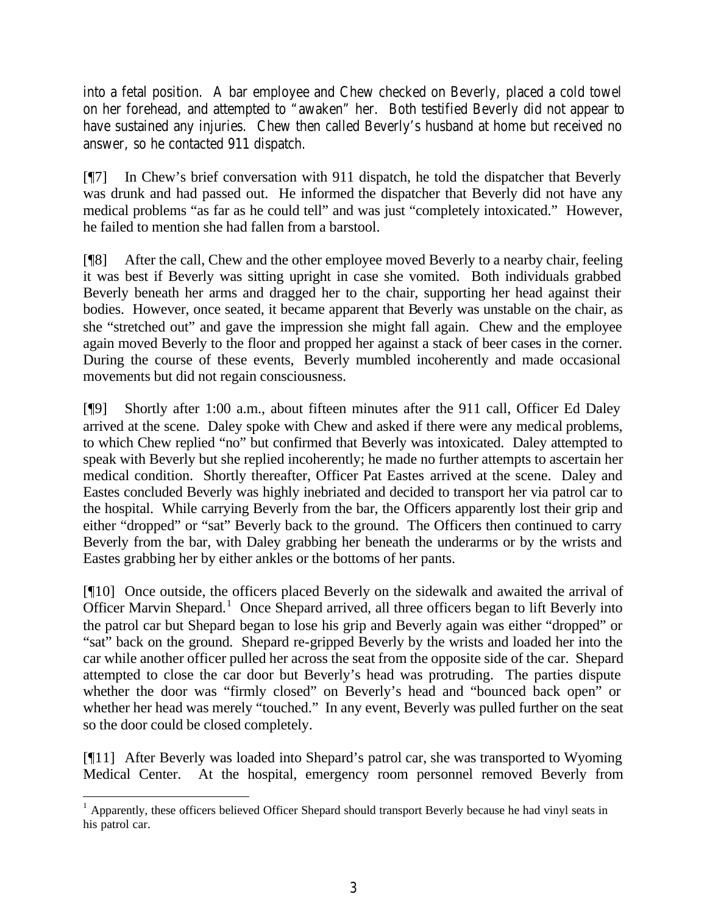into a fetal position. A bar employee and Chew checked on Beverly, placed a cold towel on her forehead, and attempted to "awaken" her. Both testified Beverly did not appear to have sustained any injuries. Chew then called Beverly's husband at home but received no answer, so he contacted 911 dispatch.

[¶7] In Chew's brief conversation with 911 dispatch, he told the dispatcher that Beverly was drunk and had passed out. He informed the dispatcher that Beverly did not have any medical problems "as far as he could tell" and was just "completely intoxicated." However, he failed to mention she had fallen from a barstool.

[¶8] After the call, Chew and the other employee moved Beverly to a nearby chair, feeling it was best if Beverly was sitting upright in case she vomited. Both individuals grabbed Beverly beneath her arms and dragged her to the chair, supporting her head against their bodies. However, once seated, it became apparent that Beverly was unstable on the chair, as she "stretched out" and gave the impression she might fall again. Chew and the employee again moved Beverly to the floor and propped her against a stack of beer cases in the corner. During the course of these events, Beverly mumbled incoherently and made occasional movements but did not regain consciousness.

[¶9] Shortly after 1:00 a.m., about fifteen minutes after the 911 call, Officer Ed Daley arrived at the scene. Daley spoke with Chew and asked if there were any medical problems, to which Chew replied "no" but confirmed that Beverly was intoxicated. Daley attempted to speak with Beverly but she replied incoherently; he made no further attempts to ascertain her medical condition. Shortly thereafter, Officer Pat Eastes arrived at the scene. Daley and Eastes concluded Beverly was highly inebriated and decided to transport her via patrol car to the hospital. While carrying Beverly from the bar, the Officers apparently lost their grip and either "dropped" or "sat" Beverly back to the ground. The Officers then continued to carry Beverly from the bar, with Daley grabbing her beneath the underarms or by the wrists and Eastes grabbing her by either ankles or the bottoms of her pants.

[¶10] Once outside, the officers placed Beverly on the sidewalk and awaited the arrival of Officer Marvin Shepard.<sup>1</sup> Once Shepard arrived, all three officers began to lift Beverly into the patrol car but Shepard began to lose his grip and Beverly again was either "dropped" or "sat" back on the ground. Shepard re-gripped Beverly by the wrists and loaded her into the car while another officer pulled her across the seat from the opposite side of the car. Shepard attempted to close the car door but Beverly's head was protruding. The parties dispute whether the door was "firmly closed" on Beverly's head and "bounced back open" or whether her head was merely "touched." In any event, Beverly was pulled further on the seat so the door could be closed completely.

[¶11] After Beverly was loaded into Shepard's patrol car, she was transported to Wyoming Medical Center. At the hospital, emergency room personnel removed Beverly from

<sup>&</sup>lt;sup>1</sup> Apparently, these officers believed Officer Shepard should transport Beverly because he had vinyl seats in his patrol car.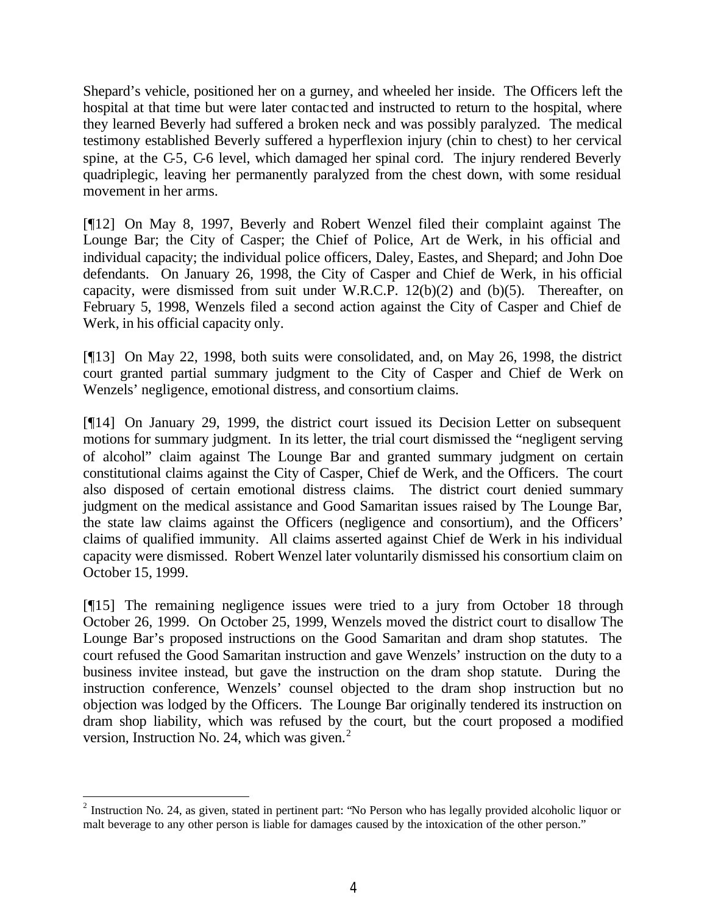Shepard's vehicle, positioned her on a gurney, and wheeled her inside. The Officers left the hospital at that time but were later contacted and instructed to return to the hospital, where they learned Beverly had suffered a broken neck and was possibly paralyzed. The medical testimony established Beverly suffered a hyperflexion injury (chin to chest) to her cervical spine, at the C-5, C-6 level, which damaged her spinal cord. The injury rendered Beverly quadriplegic, leaving her permanently paralyzed from the chest down, with some residual movement in her arms.

[¶12] On May 8, 1997, Beverly and Robert Wenzel filed their complaint against The Lounge Bar; the City of Casper; the Chief of Police, Art de Werk, in his official and individual capacity; the individual police officers, Daley, Eastes, and Shepard; and John Doe defendants. On January 26, 1998, the City of Casper and Chief de Werk, in his official capacity, were dismissed from suit under W.R.C.P. 12(b)(2) and (b)(5). Thereafter, on February 5, 1998, Wenzels filed a second action against the City of Casper and Chief de Werk, in his official capacity only.

[¶13] On May 22, 1998, both suits were consolidated, and, on May 26, 1998, the district court granted partial summary judgment to the City of Casper and Chief de Werk on Wenzels' negligence, emotional distress, and consortium claims.

[¶14] On January 29, 1999, the district court issued its Decision Letter on subsequent motions for summary judgment. In its letter, the trial court dismissed the "negligent serving of alcohol" claim against The Lounge Bar and granted summary judgment on certain constitutional claims against the City of Casper, Chief de Werk, and the Officers. The court also disposed of certain emotional distress claims. The district court denied summary judgment on the medical assistance and Good Samaritan issues raised by The Lounge Bar, the state law claims against the Officers (negligence and consortium), and the Officers' claims of qualified immunity. All claims asserted against Chief de Werk in his individual capacity were dismissed. Robert Wenzel later voluntarily dismissed his consortium claim on October 15, 1999.

[¶15] The remaining negligence issues were tried to a jury from October 18 through October 26, 1999. On October 25, 1999, Wenzels moved the district court to disallow The Lounge Bar's proposed instructions on the Good Samaritan and dram shop statutes. The court refused the Good Samaritan instruction and gave Wenzels' instruction on the duty to a business invitee instead, but gave the instruction on the dram shop statute. During the instruction conference, Wenzels' counsel objected to the dram shop instruction but no objection was lodged by the Officers. The Lounge Bar originally tendered its instruction on dram shop liability, which was refused by the court, but the court proposed a modified version, Instruction No. 24, which was given.<sup>2</sup>

 $2^2$  Instruction No. 24, as given, stated in pertinent part: "No Person who has legally provided alcoholic liquor or malt beverage to any other person is liable for damages caused by the intoxication of the other person."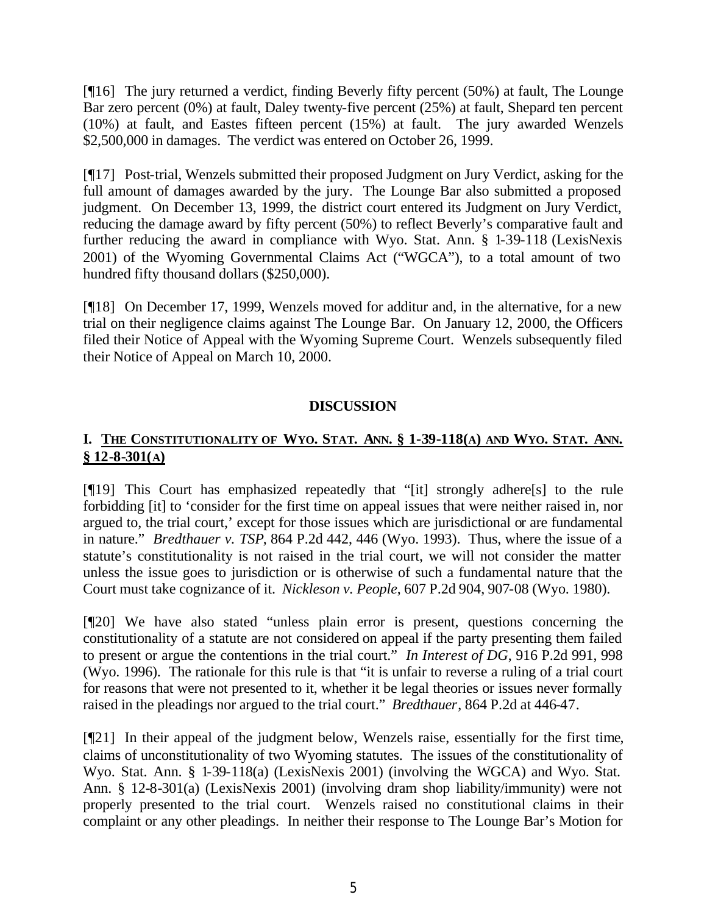[¶16] The jury returned a verdict, finding Beverly fifty percent (50%) at fault, The Lounge Bar zero percent (0%) at fault, Daley twenty-five percent (25%) at fault, Shepard ten percent (10%) at fault, and Eastes fifteen percent (15%) at fault. The jury awarded Wenzels \$2,500,000 in damages. The verdict was entered on October 26, 1999.

[¶17] Post-trial, Wenzels submitted their proposed Judgment on Jury Verdict, asking for the full amount of damages awarded by the jury. The Lounge Bar also submitted a proposed judgment. On December 13, 1999, the district court entered its Judgment on Jury Verdict, reducing the damage award by fifty percent (50%) to reflect Beverly's comparative fault and further reducing the award in compliance with Wyo. Stat. Ann. § 1-39-118 (LexisNexis 2001) of the Wyoming Governmental Claims Act ("WGCA"), to a total amount of two hundred fifty thousand dollars (\$250,000).

[¶18] On December 17, 1999, Wenzels moved for additur and, in the alternative, for a new trial on their negligence claims against The Lounge Bar. On January 12, 2000, the Officers filed their Notice of Appeal with the Wyoming Supreme Court. Wenzels subsequently filed their Notice of Appeal on March 10, 2000.

#### **DISCUSSION**

## I. THE CONSTITUTIONALITY OF WYO. STAT. ANN. § 1-39-118(A) AND WYO. STAT. ANN. **§ 12-8-301(A)**

[¶19] This Court has emphasized repeatedly that "[it] strongly adhere[s] to the rule forbidding [it] to 'consider for the first time on appeal issues that were neither raised in, nor argued to, the trial court,' except for those issues which are jurisdictional or are fundamental in nature." *Bredthauer v. TSP*, 864 P.2d 442, 446 (Wyo. 1993). Thus, where the issue of a statute's constitutionality is not raised in the trial court, we will not consider the matter unless the issue goes to jurisdiction or is otherwise of such a fundamental nature that the Court must take cognizance of it. *Nickleson v. People*, 607 P.2d 904, 907-08 (Wyo. 1980).

[¶20] We have also stated "unless plain error is present, questions concerning the constitutionality of a statute are not considered on appeal if the party presenting them failed to present or argue the contentions in the trial court." *In Interest of DG*, 916 P.2d 991, 998 (Wyo. 1996). The rationale for this rule is that "it is unfair to reverse a ruling of a trial court for reasons that were not presented to it, whether it be legal theories or issues never formally raised in the pleadings nor argued to the trial court." *Bredthauer*, 864 P.2d at 446-47.

[¶21] In their appeal of the judgment below, Wenzels raise, essentially for the first time, claims of unconstitutionality of two Wyoming statutes. The issues of the constitutionality of Wyo. Stat. Ann. § 1-39-118(a) (LexisNexis 2001) (involving the WGCA) and Wyo. Stat. Ann. § 12-8-301(a) (LexisNexis 2001) (involving dram shop liability/immunity) were not properly presented to the trial court. Wenzels raised no constitutional claims in their complaint or any other pleadings. In neither their response to The Lounge Bar's Motion for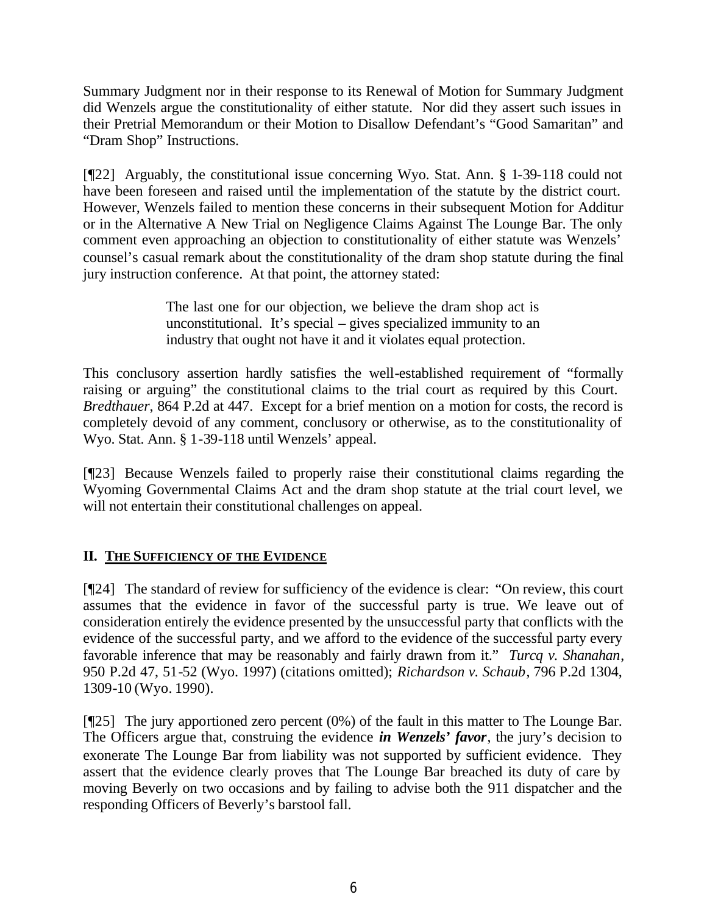Summary Judgment nor in their response to its Renewal of Motion for Summary Judgment did Wenzels argue the constitutionality of either statute. Nor did they assert such issues in their Pretrial Memorandum or their Motion to Disallow Defendant's "Good Samaritan" and "Dram Shop" Instructions.

[¶22] Arguably, the constitutional issue concerning Wyo. Stat. Ann. § 1-39-118 could not have been foreseen and raised until the implementation of the statute by the district court. However, Wenzels failed to mention these concerns in their subsequent Motion for Additur or in the Alternative A New Trial on Negligence Claims Against The Lounge Bar. The only comment even approaching an objection to constitutionality of either statute was Wenzels' counsel's casual remark about the constitutionality of the dram shop statute during the final jury instruction conference. At that point, the attorney stated:

> The last one for our objection, we believe the dram shop act is unconstitutional. It's special – gives specialized immunity to an industry that ought not have it and it violates equal protection.

This conclusory assertion hardly satisfies the well-established requirement of "formally raising or arguing" the constitutional claims to the trial court as required by this Court. *Bredthauer*, 864 P.2d at 447. Except for a brief mention on a motion for costs, the record is completely devoid of any comment, conclusory or otherwise, as to the constitutionality of Wyo. Stat. Ann. § 1-39-118 until Wenzels' appeal.

[¶23] Because Wenzels failed to properly raise their constitutional claims regarding the Wyoming Governmental Claims Act and the dram shop statute at the trial court level, we will not entertain their constitutional challenges on appeal.

## **II. THE SUFFICIENCY OF THE EVIDENCE**

[¶24] The standard of review for sufficiency of the evidence is clear: "On review, this court assumes that the evidence in favor of the successful party is true. We leave out of consideration entirely the evidence presented by the unsuccessful party that conflicts with the evidence of the successful party, and we afford to the evidence of the successful party every favorable inference that may be reasonably and fairly drawn from it." *Turcq v. Shanahan*, 950 P.2d 47, 51-52 (Wyo. 1997) (citations omitted); *Richardson v. Schaub*, 796 P.2d 1304, 1309-10 (Wyo. 1990).

[¶25] The jury apportioned zero percent (0%) of the fault in this matter to The Lounge Bar. The Officers argue that, construing the evidence *in Wenzels' favor*, the jury's decision to exonerate The Lounge Bar from liability was not supported by sufficient evidence. They assert that the evidence clearly proves that The Lounge Bar breached its duty of care by moving Beverly on two occasions and by failing to advise both the 911 dispatcher and the responding Officers of Beverly's barstool fall.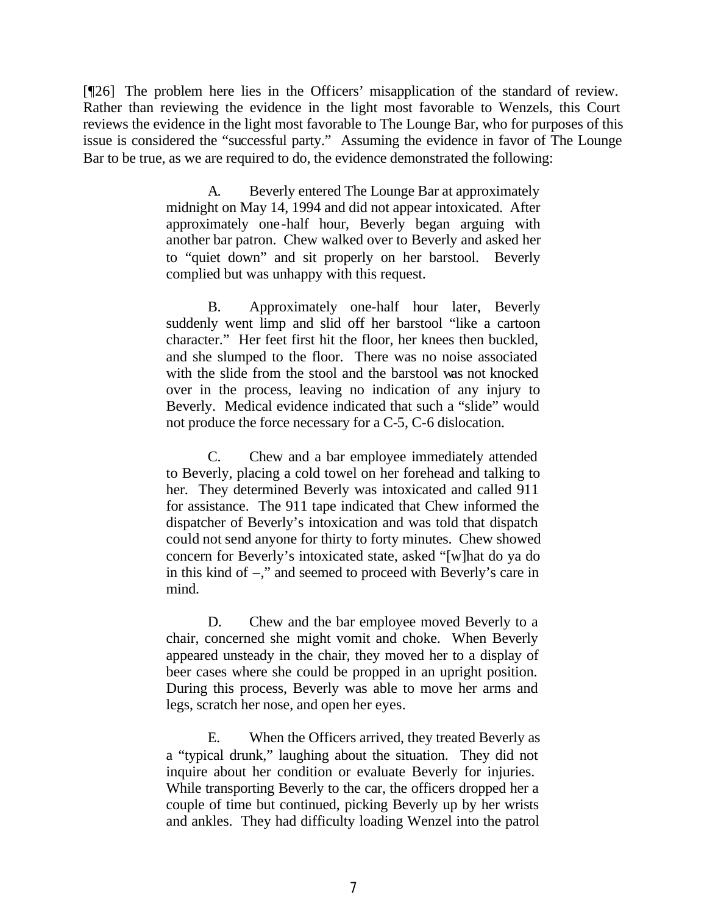[¶26] The problem here lies in the Officers' misapplication of the standard of review. Rather than reviewing the evidence in the light most favorable to Wenzels, this Court reviews the evidence in the light most favorable to The Lounge Bar, who for purposes of this issue is considered the "successful party." Assuming the evidence in favor of The Lounge Bar to be true, as we are required to do, the evidence demonstrated the following:

> A. Beverly entered The Lounge Bar at approximately midnight on May 14, 1994 and did not appear intoxicated. After approximately one-half hour, Beverly began arguing with another bar patron. Chew walked over to Beverly and asked her to "quiet down" and sit properly on her barstool. Beverly complied but was unhappy with this request.

> B. Approximately one-half hour later, Beverly suddenly went limp and slid off her barstool "like a cartoon character." Her feet first hit the floor, her knees then buckled, and she slumped to the floor. There was no noise associated with the slide from the stool and the barstool was not knocked over in the process, leaving no indication of any injury to Beverly. Medical evidence indicated that such a "slide" would not produce the force necessary for a C-5, C-6 dislocation.

> C. Chew and a bar employee immediately attended to Beverly, placing a cold towel on her forehead and talking to her. They determined Beverly was intoxicated and called 911 for assistance. The 911 tape indicated that Chew informed the dispatcher of Beverly's intoxication and was told that dispatch could not send anyone for thirty to forty minutes. Chew showed concern for Beverly's intoxicated state, asked "[w]hat do ya do in this kind of –," and seemed to proceed with Beverly's care in mind.

> D. Chew and the bar employee moved Beverly to a chair, concerned she might vomit and choke. When Beverly appeared unsteady in the chair, they moved her to a display of beer cases where she could be propped in an upright position. During this process, Beverly was able to move her arms and legs, scratch her nose, and open her eyes.

> E. When the Officers arrived, they treated Beverly as a "typical drunk," laughing about the situation. They did not inquire about her condition or evaluate Beverly for injuries. While transporting Beverly to the car, the officers dropped her a couple of time but continued, picking Beverly up by her wrists and ankles. They had difficulty loading Wenzel into the patrol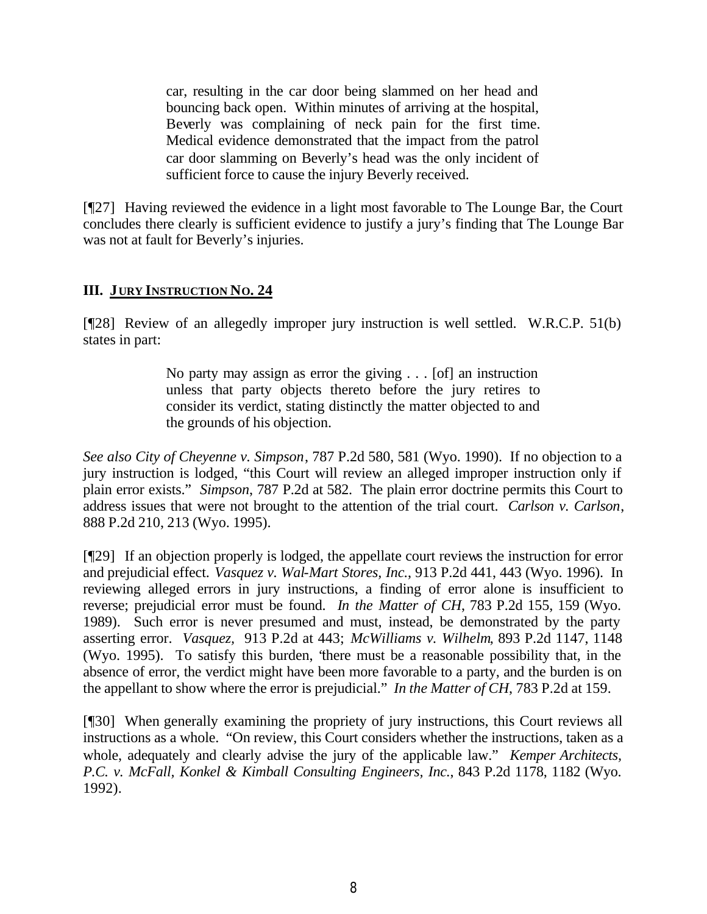car, resulting in the car door being slammed on her head and bouncing back open. Within minutes of arriving at the hospital, Beverly was complaining of neck pain for the first time. Medical evidence demonstrated that the impact from the patrol car door slamming on Beverly's head was the only incident of sufficient force to cause the injury Beverly received.

[¶27] Having reviewed the evidence in a light most favorable to The Lounge Bar, the Court concludes there clearly is sufficient evidence to justify a jury's finding that The Lounge Bar was not at fault for Beverly's injuries.

## **III. JURY INSTRUCTION NO. 24**

[¶28] Review of an allegedly improper jury instruction is well settled. W.R.C.P. 51(b) states in part:

> No party may assign as error the giving . . . [of] an instruction unless that party objects thereto before the jury retires to consider its verdict, stating distinctly the matter objected to and the grounds of his objection.

*See also City of Cheyenne v. Simpson*, 787 P.2d 580, 581 (Wyo. 1990). If no objection to a jury instruction is lodged, "this Court will review an alleged improper instruction only if plain error exists." *Simpson*, 787 P.2d at 582. The plain error doctrine permits this Court to address issues that were not brought to the attention of the trial court. *Carlson v. Carlson*, 888 P.2d 210, 213 (Wyo. 1995).

[¶29] If an objection properly is lodged, the appellate court reviews the instruction for error and prejudicial effect. *Vasquez v. Wal-Mart Stores, Inc.*, 913 P.2d 441, 443 (Wyo. 1996). In reviewing alleged errors in jury instructions, a finding of error alone is insufficient to reverse; prejudicial error must be found. *In the Matter of CH*, 783 P.2d 155, 159 (Wyo. 1989). Such error is never presumed and must, instead, be demonstrated by the party asserting error. *Vasquez,* 913 P.2d at 443; *McWilliams v. Wilhelm*, 893 P.2d 1147, 1148 (Wyo. 1995). To satisfy this burden, "there must be a reasonable possibility that, in the absence of error, the verdict might have been more favorable to a party, and the burden is on the appellant to show where the error is prejudicial." *In the Matter of CH*, 783 P.2d at 159.

[¶30] When generally examining the propriety of jury instructions, this Court reviews all instructions as a whole. "On review, this Court considers whether the instructions, taken as a whole, adequately and clearly advise the jury of the applicable law." *Kemper Architects, P.C. v. McFall, Konkel & Kimball Consulting Engineers, Inc.*, 843 P.2d 1178, 1182 (Wyo. 1992).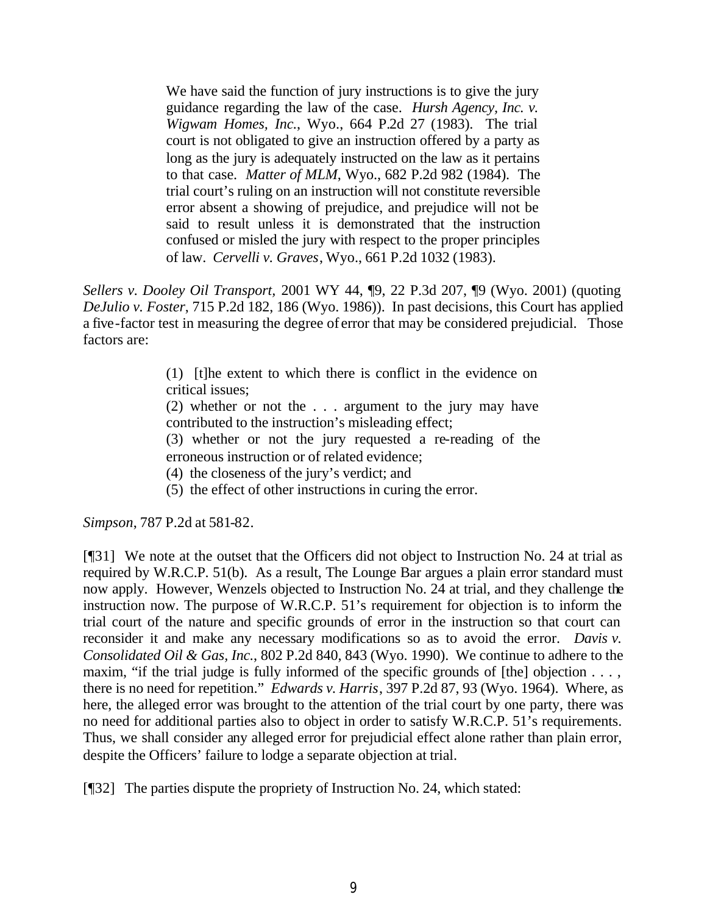We have said the function of jury instructions is to give the jury guidance regarding the law of the case. *Hursh Agency, Inc. v. Wigwam Homes, Inc.*, Wyo., 664 P.2d 27 (1983). The trial court is not obligated to give an instruction offered by a party as long as the jury is adequately instructed on the law as it pertains to that case. *Matter of MLM*, Wyo., 682 P.2d 982 (1984). The trial court's ruling on an instruction will not constitute reversible error absent a showing of prejudice, and prejudice will not be said to result unless it is demonstrated that the instruction confused or misled the jury with respect to the proper principles of law. *Cervelli v. Graves*, Wyo., 661 P.2d 1032 (1983).

*Sellers v. Dooley Oil Transport,* 2001 WY 44, ¶9, 22 P.3d 207, ¶9 (Wyo. 2001) (quoting *DeJulio v. Foster*, 715 P.2d 182, 186 (Wyo. 1986)). In past decisions, this Court has applied a five-factor test in measuring the degree of error that may be considered prejudicial. Those factors are:

> (1) [t]he extent to which there is conflict in the evidence on critical issues;

> (2) whether or not the . . . argument to the jury may have contributed to the instruction's misleading effect;

> (3) whether or not the jury requested a re-reading of the erroneous instruction or of related evidence;

- (4) the closeness of the jury's verdict; and
- (5) the effect of other instructions in curing the error.

*Simpson*, 787 P.2d at 581-82.

[¶31] We note at the outset that the Officers did not object to Instruction No. 24 at trial as required by W.R.C.P. 51(b). As a result, The Lounge Bar argues a plain error standard must now apply. However, Wenzels objected to Instruction No. 24 at trial, and they challenge the instruction now. The purpose of W.R.C.P. 51's requirement for objection is to inform the trial court of the nature and specific grounds of error in the instruction so that court can reconsider it and make any necessary modifications so as to avoid the error. *Davis v. Consolidated Oil & Gas, Inc.*, 802 P.2d 840, 843 (Wyo. 1990). We continue to adhere to the maxim, "if the trial judge is fully informed of the specific grounds of [the] objection . . . , there is no need for repetition." *Edwards v. Harris*, 397 P.2d 87, 93 (Wyo. 1964). Where, as here, the alleged error was brought to the attention of the trial court by one party, there was no need for additional parties also to object in order to satisfy W.R.C.P. 51's requirements. Thus, we shall consider any alleged error for prejudicial effect alone rather than plain error, despite the Officers' failure to lodge a separate objection at trial.

[¶32] The parties dispute the propriety of Instruction No. 24, which stated: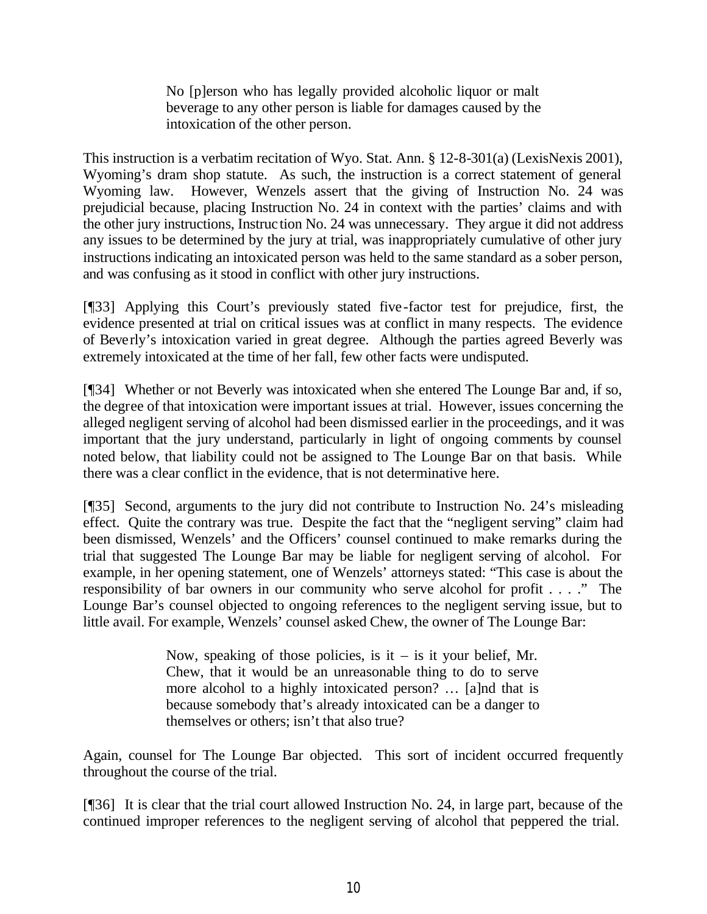No [p]erson who has legally provided alcoholic liquor or malt beverage to any other person is liable for damages caused by the intoxication of the other person.

This instruction is a verbatim recitation of Wyo. Stat. Ann. § 12-8-301(a) (LexisNexis 2001), Wyoming's dram shop statute. As such, the instruction is a correct statement of general Wyoming law. However, Wenzels assert that the giving of Instruction No. 24 was prejudicial because, placing Instruction No. 24 in context with the parties' claims and with the other jury instructions, Instruction No. 24 was unnecessary. They argue it did not address any issues to be determined by the jury at trial, was inappropriately cumulative of other jury instructions indicating an intoxicated person was held to the same standard as a sober person, and was confusing as it stood in conflict with other jury instructions.

[¶33] Applying this Court's previously stated five-factor test for prejudice, first, the evidence presented at trial on critical issues was at conflict in many respects. The evidence of Beverly's intoxication varied in great degree. Although the parties agreed Beverly was extremely intoxicated at the time of her fall, few other facts were undisputed.

[¶34] Whether or not Beverly was intoxicated when she entered The Lounge Bar and, if so, the degree of that intoxication were important issues at trial. However, issues concerning the alleged negligent serving of alcohol had been dismissed earlier in the proceedings, and it was important that the jury understand, particularly in light of ongoing comments by counsel noted below, that liability could not be assigned to The Lounge Bar on that basis. While there was a clear conflict in the evidence, that is not determinative here.

[¶35] Second, arguments to the jury did not contribute to Instruction No. 24's misleading effect. Quite the contrary was true. Despite the fact that the "negligent serving" claim had been dismissed, Wenzels' and the Officers' counsel continued to make remarks during the trial that suggested The Lounge Bar may be liable for negligent serving of alcohol. For example, in her opening statement, one of Wenzels' attorneys stated: "This case is about the responsibility of bar owners in our community who serve alcohol for profit . . . ." The Lounge Bar's counsel objected to ongoing references to the negligent serving issue, but to little avail. For example, Wenzels' counsel asked Chew, the owner of The Lounge Bar:

> Now, speaking of those policies, is it – is it your belief, Mr. Chew, that it would be an unreasonable thing to do to serve more alcohol to a highly intoxicated person? … [a]nd that is because somebody that's already intoxicated can be a danger to themselves or others; isn't that also true?

Again, counsel for The Lounge Bar objected. This sort of incident occurred frequently throughout the course of the trial.

[¶36] It is clear that the trial court allowed Instruction No. 24, in large part, because of the continued improper references to the negligent serving of alcohol that peppered the trial.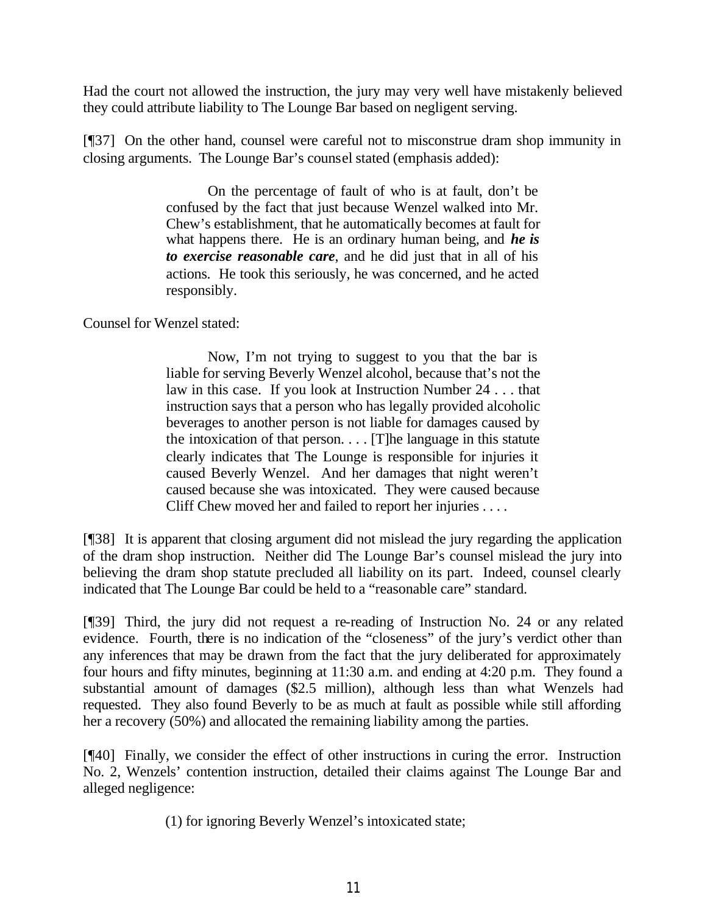Had the court not allowed the instruction, the jury may very well have mistakenly believed they could attribute liability to The Lounge Bar based on negligent serving.

[¶37] On the other hand, counsel were careful not to misconstrue dram shop immunity in closing arguments. The Lounge Bar's counsel stated (emphasis added):

> On the percentage of fault of who is at fault, don't be confused by the fact that just because Wenzel walked into Mr. Chew's establishment, that he automatically becomes at fault for what happens there. He is an ordinary human being, and *he is to exercise reasonable care*, and he did just that in all of his actions. He took this seriously, he was concerned, and he acted responsibly.

Counsel for Wenzel stated:

Now, I'm not trying to suggest to you that the bar is liable for serving Beverly Wenzel alcohol, because that's not the law in this case. If you look at Instruction Number 24 . . . that instruction says that a person who has legally provided alcoholic beverages to another person is not liable for damages caused by the intoxication of that person. . . . [T]he language in this statute clearly indicates that The Lounge is responsible for injuries it caused Beverly Wenzel. And her damages that night weren't caused because she was intoxicated. They were caused because Cliff Chew moved her and failed to report her injuries . . . .

[¶38] It is apparent that closing argument did not mislead the jury regarding the application of the dram shop instruction. Neither did The Lounge Bar's counsel mislead the jury into believing the dram shop statute precluded all liability on its part. Indeed, counsel clearly indicated that The Lounge Bar could be held to a "reasonable care" standard.

[¶39] Third, the jury did not request a re-reading of Instruction No. 24 or any related evidence. Fourth, there is no indication of the "closeness" of the jury's verdict other than any inferences that may be drawn from the fact that the jury deliberated for approximately four hours and fifty minutes, beginning at 11:30 a.m. and ending at 4:20 p.m. They found a substantial amount of damages (\$2.5 million), although less than what Wenzels had requested. They also found Beverly to be as much at fault as possible while still affording her a recovery (50%) and allocated the remaining liability among the parties.

[¶40] Finally, we consider the effect of other instructions in curing the error. Instruction No. 2, Wenzels' contention instruction, detailed their claims against The Lounge Bar and alleged negligence:

(1) for ignoring Beverly Wenzel's intoxicated state;